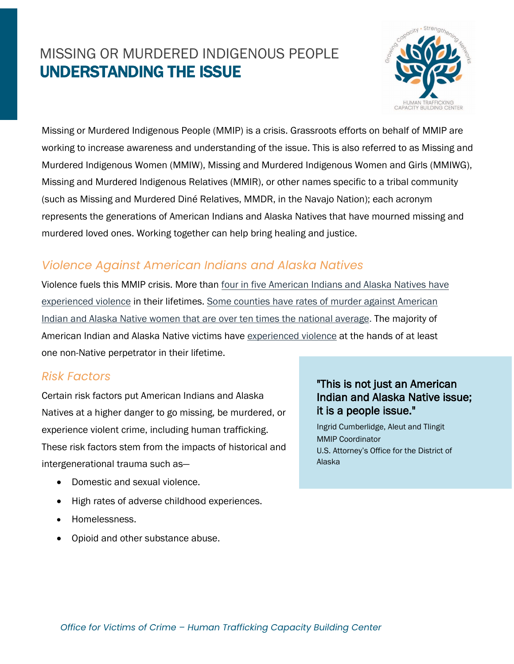# MISSING OR MURDERED INDIGENOUS PEOPLE UNDERSTANDING THE ISSUE



Missing or Murdered Indigenous People (MMIP) is a crisis. Grassroots efforts on behalf of MMIP are working to increase awareness and understanding of the issue. This is also referred to as Missing and Murdered Indigenous Women (MMIW), Missing and Murdered Indigenous Women and Girls (MMIWG), Missing and Murdered Indigenous Relatives (MMIR), or other names specific to a tribal community (such as Missing and Murdered Diné Relatives, MMDR, in the Navajo Nation); each acronym represents the generations of American Indians and Alaska Natives that have mourned missing and murdered loved ones. Working together can help bring healing and justice.

## *Violence Against American Indians and Alaska Natives*

Violence fuels this MMIP crisis. More than four in five [American Indians and Alaska Natives have](https://nij.ojp.gov/topics/articles/violence-against-american-indian-and-alaska-native-women-and-men) [experienced violence](https://nij.ojp.gov/topics/articles/violence-against-american-indian-and-alaska-native-women-and-men) in their lifetimes. [Some counties have rates of murder against American](https://www.ojp.gov/pdffiles1/nij/grants/223691.pdf)  [Indian and Alaska Native women that are over ten times the national average.](https://www.ojp.gov/pdffiles1/nij/grants/223691.pdf) The majority of American Indian and Alaska Native victims have [experienced violence](https://nij.ojp.gov/media/image/19456) at the hands of at least one non-Native perpetrator in their lifetime.

#### *Risk Factors*

Certain risk factors put American Indians and Alaska Natives at a higher danger to go missing, be murdered, or experience violent crime, including human trafficking. These risk factors stem from the impacts of historical and intergenerational trauma such as―

- Domestic and sexual violence.
- High rates of adverse childhood experiences.
- Homelessness.
- Opioid and other substance abuse.

#### "This is not just an American Indian and Alaska Native issue; it is a people issue."

Ingrid Cumberlidge, Aleut and Tlingit MMIP Coordinator U.S. Attorney's Office for the District of Alaska